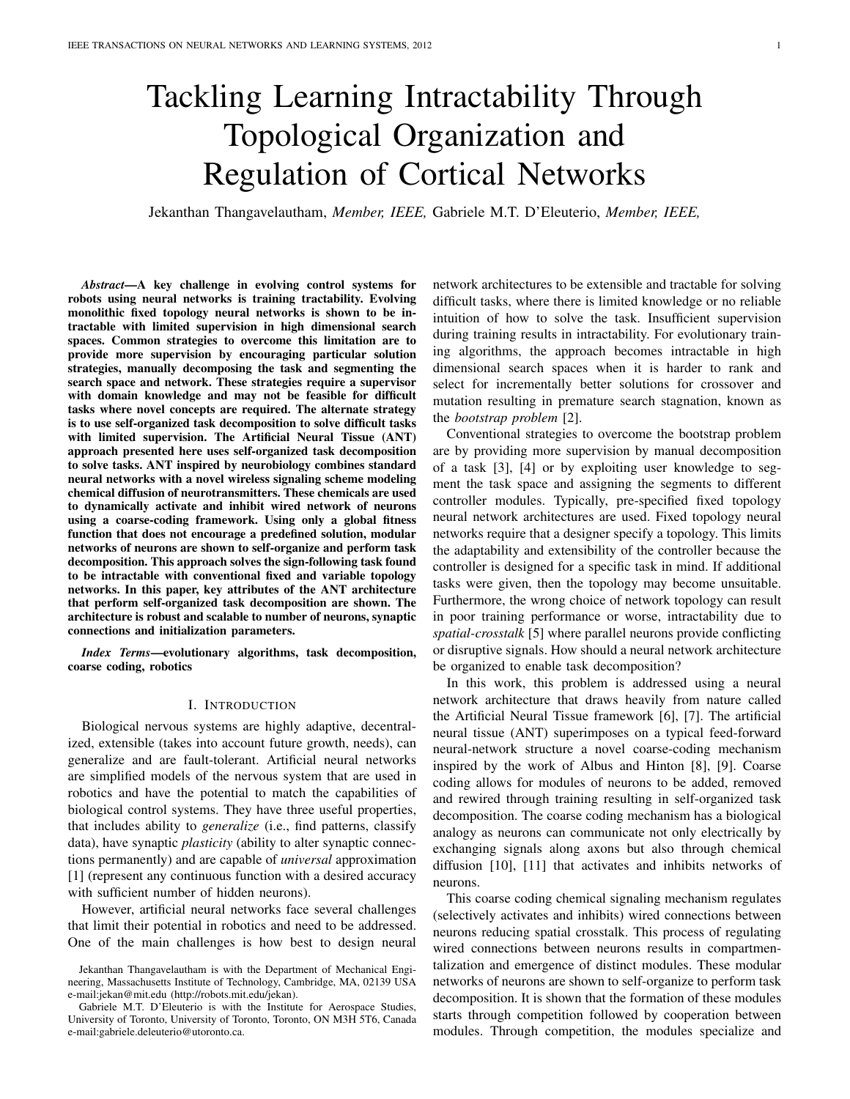# Tackling Learning Intractability Through Topological Organization and Regulation of Cortical Networks

Jekanthan Thangavelautham, *Member, IEEE,* Gabriele M.T. D'Eleuterio, *Member, IEEE,*

*Abstract*—A key challenge in evolving control systems for robots using neural networks is training tractability. Evolving monolithic fixed topology neural networks is shown to be intractable with limited supervision in high dimensional search spaces. Common strategies to overcome this limitation are to provide more supervision by encouraging particular solution strategies, manually decomposing the task and segmenting the search space and network. These strategies require a supervisor with domain knowledge and may not be feasible for difficult tasks where novel concepts are required. The alternate strategy is to use self-organized task decomposition to solve difficult tasks with limited supervision. The Artificial Neural Tissue (ANT) approach presented here uses self-organized task decomposition to solve tasks. ANT inspired by neurobiology combines standard neural networks with a novel wireless signaling scheme modeling chemical diffusion of neurotransmitters. These chemicals are used to dynamically activate and inhibit wired network of neurons using a coarse-coding framework. Using only a global fitness function that does not encourage a predefined solution, modular networks of neurons are shown to self-organize and perform task decomposition. This approach solves the sign-following task found to be intractable with conventional fixed and variable topology networks. In this paper, key attributes of the ANT architecture that perform self-organized task decomposition are shown. The architecture is robust and scalable to number of neurons, synaptic connections and initialization parameters.

*Index Terms*—evolutionary algorithms, task decomposition, coarse coding, robotics

## I. INTRODUCTION

Biological nervous systems are highly adaptive, decentralized, extensible (takes into account future growth, needs), can generalize and are fault-tolerant. Artificial neural networks are simplified models of the nervous system that are used in robotics and have the potential to match the capabilities of biological control systems. They have three useful properties, that includes ability to *generalize* (i.e., find patterns, classify data), have synaptic *plasticity* (ability to alter synaptic connections permanently) and are capable of *universal* approximation [1] (represent any continuous function with a desired accuracy with sufficient number of hidden neurons).

However, artificial neural networks face several challenges that limit their potential in robotics and need to be addressed. One of the main challenges is how best to design neural network architectures to be extensible and tractable for solving difficult tasks, where there is limited knowledge or no reliable intuition of how to solve the task. Insufficient supervision during training results in intractability. For evolutionary training algorithms, the approach becomes intractable in high dimensional search spaces when it is harder to rank and select for incrementally better solutions for crossover and mutation resulting in premature search stagnation, known as the *bootstrap problem* [2].

Conventional strategies to overcome the bootstrap problem are by providing more supervision by manual decomposition of a task [3], [4] or by exploiting user knowledge to segment the task space and assigning the segments to different controller modules. Typically, pre-specified fixed topology neural network architectures are used. Fixed topology neural networks require that a designer specify a topology. This limits the adaptability and extensibility of the controller because the controller is designed for a specific task in mind. If additional tasks were given, then the topology may become unsuitable. Furthermore, the wrong choice of network topology can result in poor training performance or worse, intractability due to *spatial-crosstalk* [5] where parallel neurons provide conflicting or disruptive signals. How should a neural network architecture be organized to enable task decomposition?

In this work, this problem is addressed using a neural network architecture that draws heavily from nature called the Artificial Neural Tissue framework [6], [7]. The artificial neural tissue (ANT) superimposes on a typical feed-forward neural-network structure a novel coarse-coding mechanism inspired by the work of Albus and Hinton [8], [9]. Coarse coding allows for modules of neurons to be added, removed and rewired through training resulting in self-organized task decomposition. The coarse coding mechanism has a biological analogy as neurons can communicate not only electrically by exchanging signals along axons but also through chemical diffusion [10], [11] that activates and inhibits networks of neurons.

This coarse coding chemical signaling mechanism regulates (selectively activates and inhibits) wired connections between neurons reducing spatial crosstalk. This process of regulating wired connections between neurons results in compartmentalization and emergence of distinct modules. These modular networks of neurons are shown to self-organize to perform task decomposition. It is shown that the formation of these modules starts through competition followed by cooperation between modules. Through competition, the modules specialize and

Jekanthan Thangavelautham is with the Department of Mechanical Engineering, Massachusetts Institute of Technology, Cambridge, MA, 02139 USA e-mail:jekan@mit.edu (http://robots.mit.edu/jekan).

Gabriele M.T. D'Eleuterio is with the Institute for Aerospace Studies, University of Toronto, University of Toronto, Toronto, ON M3H 5T6, Canada e-mail:gabriele.deleuterio@utoronto.ca.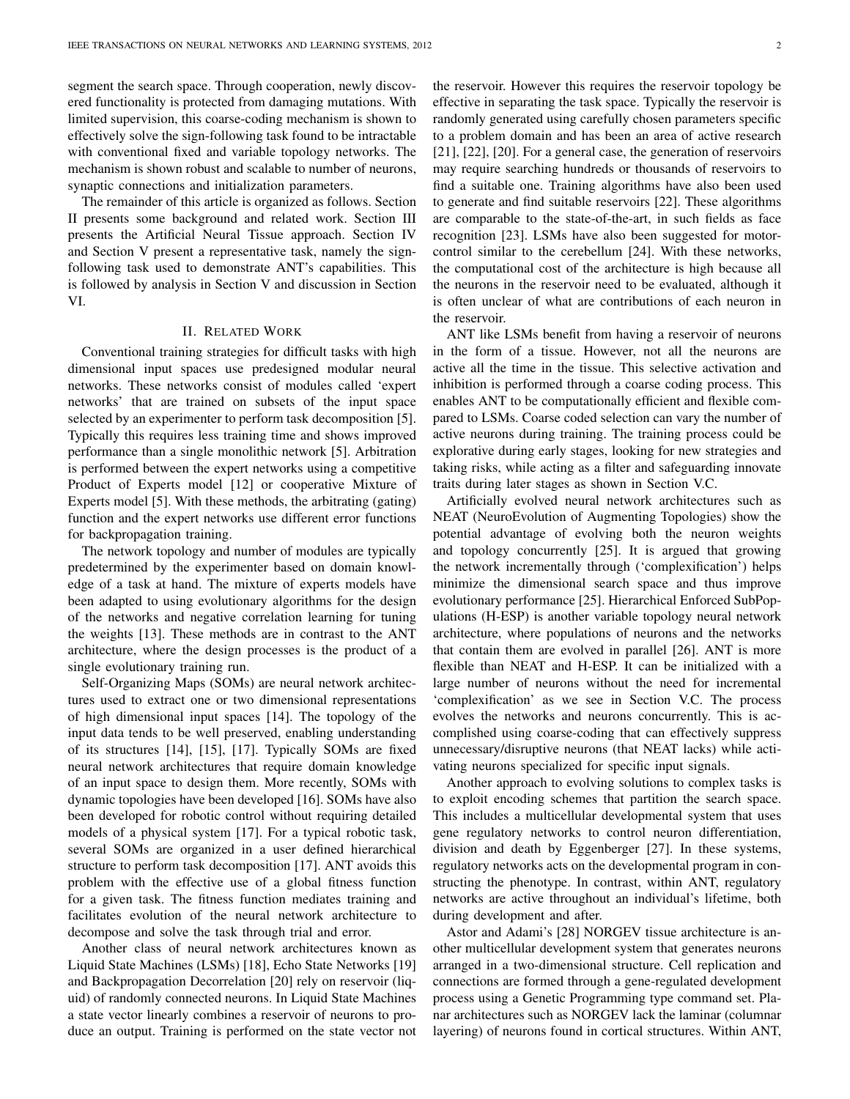segment the search space. Through cooperation, newly discovered functionality is protected from damaging mutations. With limited supervision, this coarse-coding mechanism is shown to effectively solve the sign-following task found to be intractable with conventional fixed and variable topology networks. The mechanism is shown robust and scalable to number of neurons, synaptic connections and initialization parameters.

The remainder of this article is organized as follows. Section II presents some background and related work. Section III presents the Artificial Neural Tissue approach. Section IV and Section V present a representative task, namely the signfollowing task used to demonstrate ANT's capabilities. This is followed by analysis in Section V and discussion in Section VI.

### II. RELATED WORK

Conventional training strategies for difficult tasks with high dimensional input spaces use predesigned modular neural networks. These networks consist of modules called 'expert networks' that are trained on subsets of the input space selected by an experimenter to perform task decomposition [5]. Typically this requires less training time and shows improved performance than a single monolithic network [5]. Arbitration is performed between the expert networks using a competitive Product of Experts model [12] or cooperative Mixture of Experts model [5]. With these methods, the arbitrating (gating) function and the expert networks use different error functions for backpropagation training.

The network topology and number of modules are typically predetermined by the experimenter based on domain knowledge of a task at hand. The mixture of experts models have been adapted to using evolutionary algorithms for the design of the networks and negative correlation learning for tuning the weights [13]. These methods are in contrast to the ANT architecture, where the design processes is the product of a single evolutionary training run.

Self-Organizing Maps (SOMs) are neural network architectures used to extract one or two dimensional representations of high dimensional input spaces [14]. The topology of the input data tends to be well preserved, enabling understanding of its structures [14], [15], [17]. Typically SOMs are fixed neural network architectures that require domain knowledge of an input space to design them. More recently, SOMs with dynamic topologies have been developed [16]. SOMs have also been developed for robotic control without requiring detailed models of a physical system [17]. For a typical robotic task, several SOMs are organized in a user defined hierarchical structure to perform task decomposition [17]. ANT avoids this problem with the effective use of a global fitness function for a given task. The fitness function mediates training and facilitates evolution of the neural network architecture to decompose and solve the task through trial and error.

Another class of neural network architectures known as Liquid State Machines (LSMs) [18], Echo State Networks [19] and Backpropagation Decorrelation [20] rely on reservoir (liquid) of randomly connected neurons. In Liquid State Machines a state vector linearly combines a reservoir of neurons to produce an output. Training is performed on the state vector not the reservoir. However this requires the reservoir topology be effective in separating the task space. Typically the reservoir is randomly generated using carefully chosen parameters specific to a problem domain and has been an area of active research [21], [22], [20]. For a general case, the generation of reservoirs may require searching hundreds or thousands of reservoirs to find a suitable one. Training algorithms have also been used to generate and find suitable reservoirs [22]. These algorithms are comparable to the state-of-the-art, in such fields as face recognition [23]. LSMs have also been suggested for motorcontrol similar to the cerebellum [24]. With these networks, the computational cost of the architecture is high because all the neurons in the reservoir need to be evaluated, although it is often unclear of what are contributions of each neuron in the reservoir.

ANT like LSMs benefit from having a reservoir of neurons in the form of a tissue. However, not all the neurons are active all the time in the tissue. This selective activation and inhibition is performed through a coarse coding process. This enables ANT to be computationally efficient and flexible compared to LSMs. Coarse coded selection can vary the number of active neurons during training. The training process could be explorative during early stages, looking for new strategies and taking risks, while acting as a filter and safeguarding innovate traits during later stages as shown in Section V.C.

Artificially evolved neural network architectures such as NEAT (NeuroEvolution of Augmenting Topologies) show the potential advantage of evolving both the neuron weights and topology concurrently [25]. It is argued that growing the network incrementally through ('complexification') helps minimize the dimensional search space and thus improve evolutionary performance [25]. Hierarchical Enforced SubPopulations (H-ESP) is another variable topology neural network architecture, where populations of neurons and the networks that contain them are evolved in parallel [26]. ANT is more flexible than NEAT and H-ESP. It can be initialized with a large number of neurons without the need for incremental 'complexification' as we see in Section V.C. The process evolves the networks and neurons concurrently. This is accomplished using coarse-coding that can effectively suppress unnecessary/disruptive neurons (that NEAT lacks) while activating neurons specialized for specific input signals.

Another approach to evolving solutions to complex tasks is to exploit encoding schemes that partition the search space. This includes a multicellular developmental system that uses gene regulatory networks to control neuron differentiation, division and death by Eggenberger [27]. In these systems, regulatory networks acts on the developmental program in constructing the phenotype. In contrast, within ANT, regulatory networks are active throughout an individual's lifetime, both during development and after.

Astor and Adami's [28] NORGEV tissue architecture is another multicellular development system that generates neurons arranged in a two-dimensional structure. Cell replication and connections are formed through a gene-regulated development process using a Genetic Programming type command set. Planar architectures such as NORGEV lack the laminar (columnar layering) of neurons found in cortical structures. Within ANT,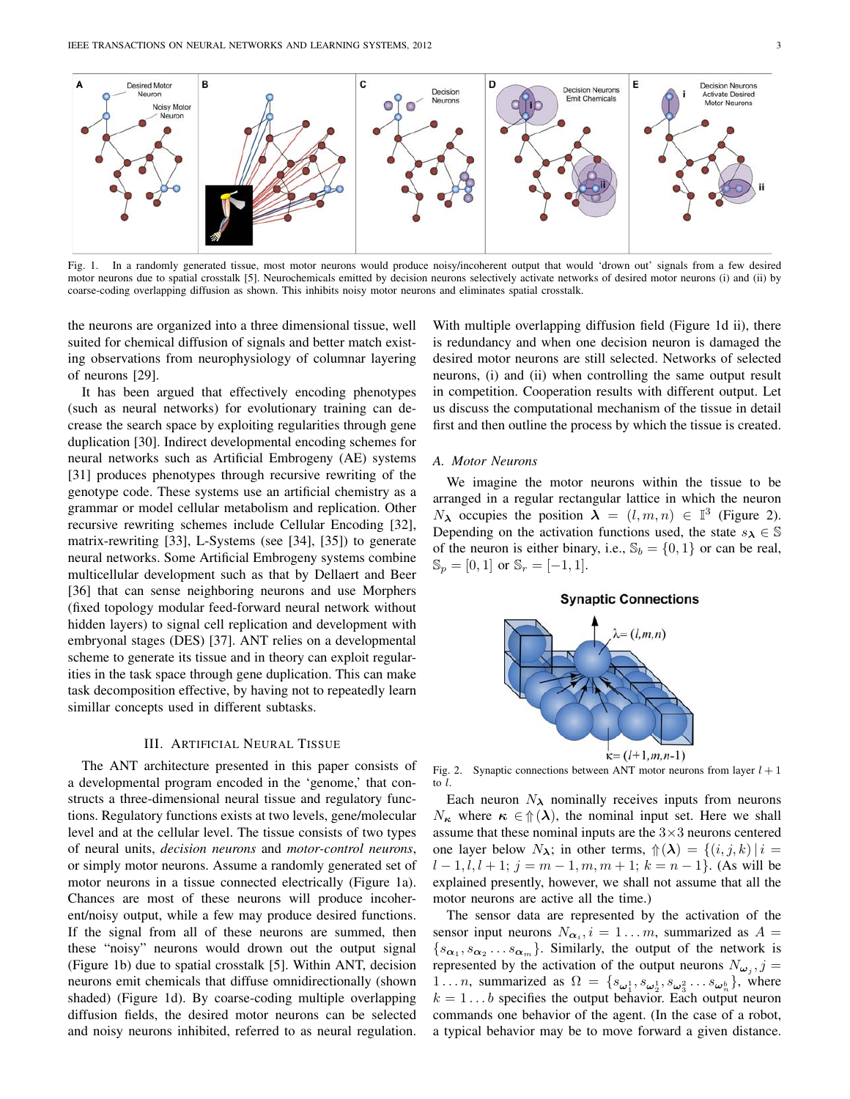

Fig. 1. In a randomly generated tissue, most motor neurons would produce noisy/incoherent output that would 'drown out' signals from a few desired motor neurons due to spatial crosstalk [5]. Neurochemicals emitted by decision neurons selectively activate networks of desired motor neurons (i) and (ii) by coarse-coding overlapping diffusion as shown. This inhibits noisy motor neurons and eliminates spatial crosstalk.

the neurons are organized into a three dimensional tissue, well suited for chemical diffusion of signals and better match existing observations from neurophysiology of columnar layering of neurons [29].

It has been argued that effectively encoding phenotypes (such as neural networks) for evolutionary training can decrease the search space by exploiting regularities through gene duplication [30]. Indirect developmental encoding schemes for neural networks such as Artificial Embrogeny (AE) systems [31] produces phenotypes through recursive rewriting of the genotype code. These systems use an artificial chemistry as a grammar or model cellular metabolism and replication. Other recursive rewriting schemes include Cellular Encoding [32], matrix-rewriting [33], L-Systems (see [34], [35]) to generate neural networks. Some Artificial Embrogeny systems combine multicellular development such as that by Dellaert and Beer [36] that can sense neighboring neurons and use Morphers (fixed topology modular feed-forward neural network without hidden layers) to signal cell replication and development with embryonal stages (DES) [37]. ANT relies on a developmental scheme to generate its tissue and in theory can exploit regularities in the task space through gene duplication. This can make task decomposition effective, by having not to repeatedly learn simillar concepts used in different subtasks.

## III. ARTIFICIAL NEURAL TISSUE

The ANT architecture presented in this paper consists of a developmental program encoded in the 'genome,' that constructs a three-dimensional neural tissue and regulatory functions. Regulatory functions exists at two levels, gene/molecular level and at the cellular level. The tissue consists of two types of neural units, *decision neurons* and *motor-control neurons*, or simply motor neurons. Assume a randomly generated set of motor neurons in a tissue connected electrically (Figure 1a). Chances are most of these neurons will produce incoherent/noisy output, while a few may produce desired functions. If the signal from all of these neurons are summed, then these "noisy" neurons would drown out the output signal (Figure 1b) due to spatial crosstalk [5]. Within ANT, decision neurons emit chemicals that diffuse omnidirectionally (shown shaded) (Figure 1d). By coarse-coding multiple overlapping diffusion fields, the desired motor neurons can be selected and noisy neurons inhibited, referred to as neural regulation.

With multiple overlapping diffusion field (Figure 1d ii), there is redundancy and when one decision neuron is damaged the desired motor neurons are still selected. Networks of selected neurons, (i) and (ii) when controlling the same output result in competition. Cooperation results with different output. Let us discuss the computational mechanism of the tissue in detail first and then outline the process by which the tissue is created.

## *A. Motor Neurons*

We imagine the motor neurons within the tissue to be arranged in a regular rectangular lattice in which the neuron  $N_{\lambda}$  occupies the position  $\lambda = (l, m, n) \in \mathbb{I}^{3}$  (Figure 2). Depending on the activation functions used, the state  $s_{\lambda} \in \mathbb{S}$ of the neuron is either binary, i.e.,  $\mathbb{S}_b = \{0, 1\}$  or can be real,  $\mathbb{S}_p = [0, 1]$  or  $\mathbb{S}_r = [-1, 1].$ 





Fig. 2. Synaptic connections between ANT motor neurons from layer  $l + 1$ to l.

Each neuron  $N_{\lambda}$  nominally receives inputs from neurons  $N_{\kappa}$  where  $\kappa \in \mathcal{L}(\lambda)$ , the nominal input set. Here we shall assume that these nominal inputs are the  $3\times 3$  neurons centered one layer below  $N_{\lambda}$ ; in other terms,  $\mathcal{D}(\lambda) = \{(i, j, k) | i =$  $l-1, l, l+1; j = m-1, m, m+1; k = n-1$ . (As will be explained presently, however, we shall not assume that all the motor neurons are active all the time.)

The sensor data are represented by the activation of the sensor input neurons  $N_{\alpha_i}$ ,  $i = 1...m$ , summarized as  $A =$  $\{s_{\alpha_1}, s_{\alpha_2} \ldots s_{\alpha_m}\}\$ . Similarly, the output of the network is represented by the activation of the output neurons  $N_{\omega_j}$ ,  $j =$ 1... *n*, summarized as  $\Omega = \{s_{\omega_1^1}, s_{\omega_2^1}, s_{\omega_3^2} \dots s_{\omega_n^b}\}\$ , where  $k = 1 \dots b$  specifies the output behavior. Each output neuron commands one behavior of the agent. (In the case of a robot, a typical behavior may be to move forward a given distance.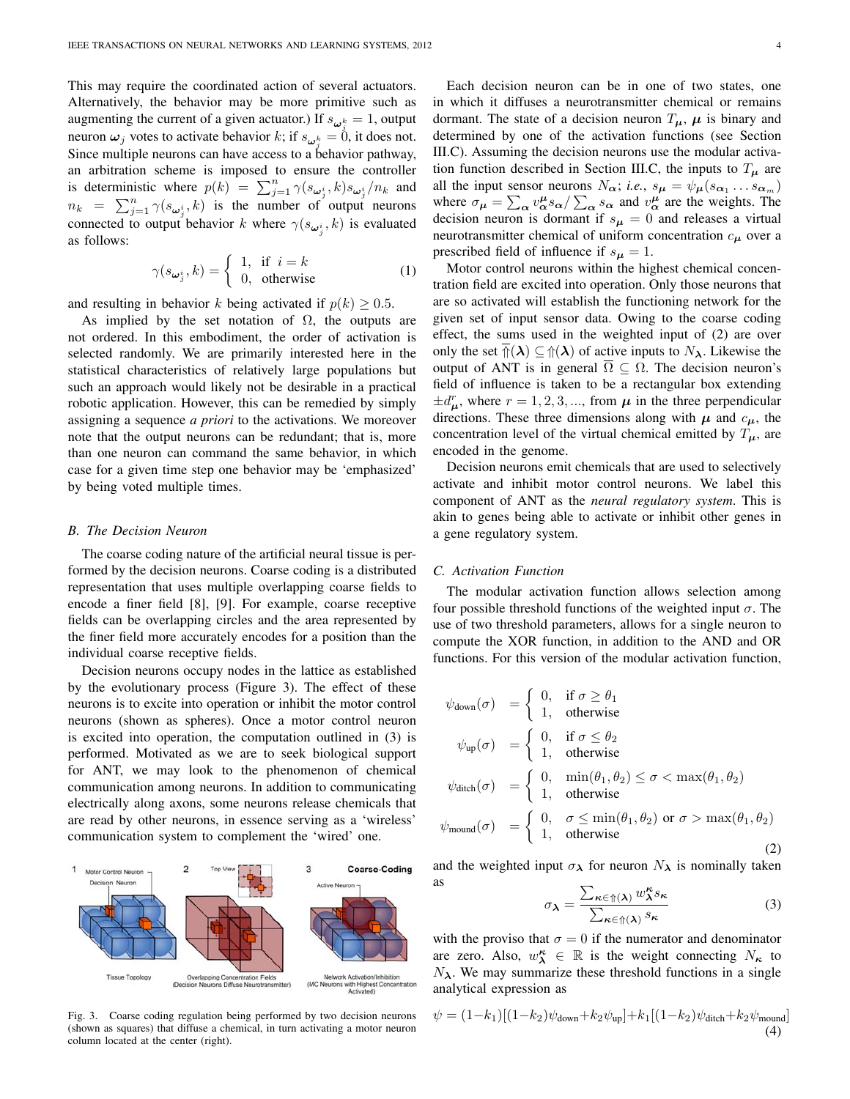This may require the coordinated action of several actuators. Alternatively, the behavior may be more primitive such as augmenting the current of a given actuator.) If  $s_{\omega_i^k} = 1$ , output neuron  $\omega_j$  votes to activate behavior k; if  $s_{\omega_j^k} = 0$ , it does not. Since multiple neurons can have access to a behavior pathway, an arbitration scheme is imposed to ensure the controller is deterministic where  $p(k) = \sum_{j=1}^{n} \gamma(s_{\omega_j^i}, k) s_{\omega_j^i}/n_k$  and  $n_k = \sum_{j=1}^n \gamma(s_{\omega_j^i}, k)$  is the number of output neurons connected to output behavior k where  $\gamma(s_{\omega_j^i}, k)$  is evaluated as follows:

$$
\gamma(s_{\omega_j^i}, k) = \begin{cases} 1, & \text{if } i = k \\ 0, & \text{otherwise} \end{cases}
$$
 (1)

and resulting in behavior k being activated if  $p(k) > 0.5$ .

As implied by the set notation of  $\Omega$ , the outputs are not ordered. In this embodiment, the order of activation is selected randomly. We are primarily interested here in the statistical characteristics of relatively large populations but such an approach would likely not be desirable in a practical robotic application. However, this can be remedied by simply assigning a sequence *a priori* to the activations. We moreover note that the output neurons can be redundant; that is, more than one neuron can command the same behavior, in which case for a given time step one behavior may be 'emphasized' by being voted multiple times.

## *B. The Decision Neuron*

The coarse coding nature of the artificial neural tissue is performed by the decision neurons. Coarse coding is a distributed representation that uses multiple overlapping coarse fields to encode a finer field [8], [9]. For example, coarse receptive fields can be overlapping circles and the area represented by the finer field more accurately encodes for a position than the individual coarse receptive fields.

Decision neurons occupy nodes in the lattice as established by the evolutionary process (Figure 3). The effect of these neurons is to excite into operation or inhibit the motor control neurons (shown as spheres). Once a motor control neuron is excited into operation, the computation outlined in (3) is performed. Motivated as we are to seek biological support for ANT, we may look to the phenomenon of chemical communication among neurons. In addition to communicating electrically along axons, some neurons release chemicals that are read by other neurons, in essence serving as a 'wireless' communication system to complement the 'wired' one.



Fig. 3. Coarse coding regulation being performed by two decision neurons (shown as squares) that diffuse a chemical, in turn activating a motor neuron column located at the center (right).

Each decision neuron can be in one of two states, one in which it diffuses a neurotransmitter chemical or remains dormant. The state of a decision neuron  $T_{\mu}$ ,  $\mu$  is binary and determined by one of the activation functions (see Section III.C). Assuming the decision neurons use the modular activation function described in Section III.C, the inputs to  $T_{\mu}$  are all the input sensor neurons  $N_{\alpha}$ ; *i.e.*,  $s_{\mu} = \psi_{\mu}(s_{\alpha_1} \dots s_{\alpha_m})$ where  $\sigma_{\mu} = \sum_{\alpha} v_{\alpha}^{\mu} s_{\alpha} / \sum_{\alpha} s_{\alpha}$  and  $v_{\alpha}^{\mu}$  are the weights. The decision neuron is dormant if  $s_{\mu} = 0$  and releases a virtual neurotransmitter chemical of uniform concentration  $c_{\mu}$  over a prescribed field of influence if  $s_{\mu} = 1$ .

Motor control neurons within the highest chemical concentration field are excited into operation. Only those neurons that are so activated will establish the functioning network for the given set of input sensor data. Owing to the coarse coding effect, the sums used in the weighted input of (2) are over only the set  $\mathcal{D}(\lambda) \subseteq \mathcal{D}(\lambda)$  of active inputs to  $N_{\lambda}$ . Likewise the output of ANT is in general  $\overline{\Omega} \subseteq \Omega$ . The decision neuron's field of influence is taken to be a rectangular box extending  $\pm d_{\mu}^{r}$ , where  $r = 1, 2, 3, \dots$ , from  $\mu$  in the three perpendicular directions. These three dimensions along with  $\mu$  and  $c_{\mu}$ , the concentration level of the virtual chemical emitted by  $T_{\mu}$ , are encoded in the genome.

Decision neurons emit chemicals that are used to selectively activate and inhibit motor control neurons. We label this component of ANT as the *neural regulatory system*. This is akin to genes being able to activate or inhibit other genes in a gene regulatory system.

## *C. Activation Function*

The modular activation function allows selection among four possible threshold functions of the weighted input  $\sigma$ . The use of two threshold parameters, allows for a single neuron to compute the XOR function, in addition to the AND and OR functions. For this version of the modular activation function,

$$
\psi_{\text{down}}(\sigma) = \begin{cases}\n0, & \text{if } \sigma \ge \theta_1 \\
1, & \text{otherwise}\n\end{cases}
$$
\n
$$
\psi_{\text{up}}(\sigma) = \begin{cases}\n0, & \text{if } \sigma \le \theta_2 \\
1, & \text{otherwise}\n\end{cases}
$$
\n
$$
\psi_{\text{ditch}}(\sigma) = \begin{cases}\n0, & \min(\theta_1, \theta_2) \le \sigma < \max(\theta_1, \theta_2) \\
1, & \text{otherwise}\n\end{cases}
$$
\n
$$
\psi_{\text{mound}}(\sigma) = \begin{cases}\n0, & \sigma \le \min(\theta_1, \theta_2) \text{ or } \sigma > \max(\theta_1, \theta_2) \\
1, & \text{otherwise}\n\end{cases}
$$
\n(2)

and the weighted input  $\sigma_{\lambda}$  for neuron  $N_{\lambda}$  is nominally taken as

$$
\sigma_{\lambda} = \frac{\sum_{\kappa \in \Uparrow(\lambda)} w_{\lambda}^{\kappa} s_{\kappa}}{\sum_{\kappa \in \Uparrow(\lambda)} s_{\kappa}} \tag{3}
$$

with the proviso that  $\sigma = 0$  if the numerator and denominator are zero. Also,  $w^{\kappa}_{\lambda} \in \mathbb{R}$  is the weight connecting  $N_{\kappa}$  to  $N_{\lambda}$ . We may summarize these threshold functions in a single analytical expression as

$$
\psi = (1 - k_1)[(1 - k_2)\psi_{\text{down}} + k_2\psi_{\text{up}}] + k_1[(1 - k_2)\psi_{\text{dict}} + k_2\psi_{\text{mount}}]
$$
\n(4)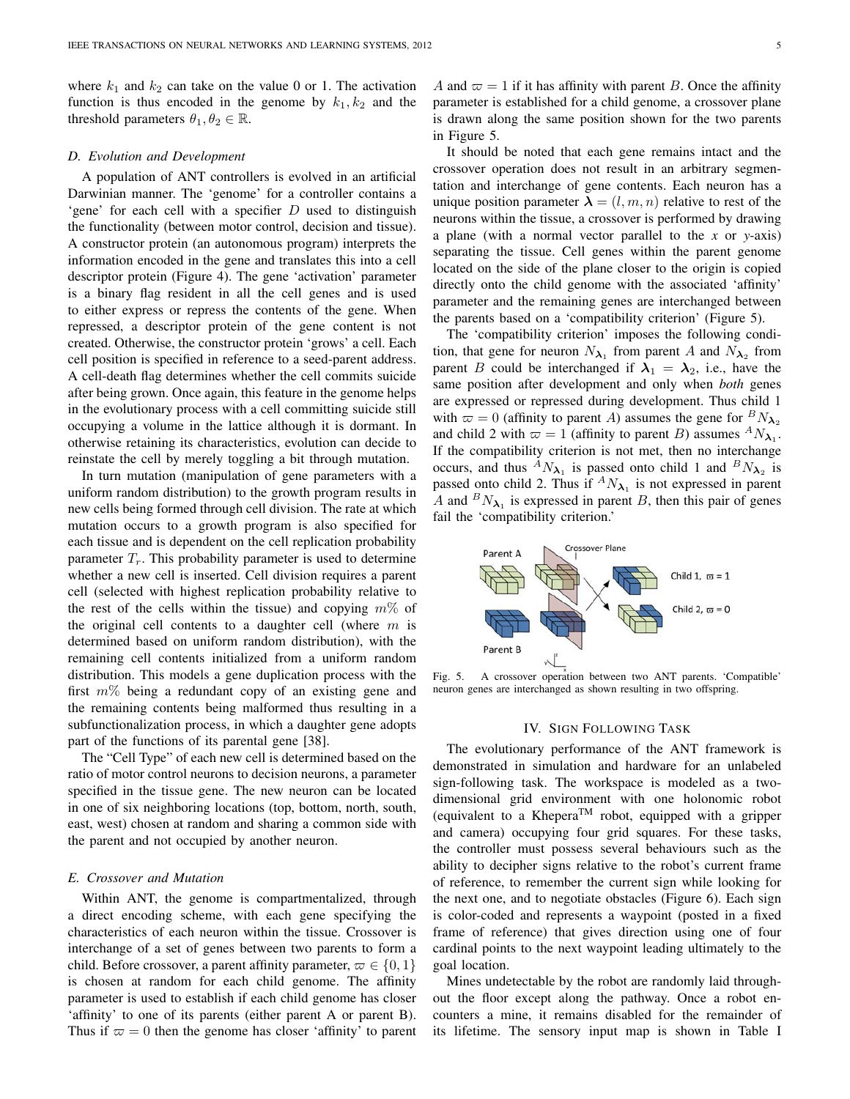where  $k_1$  and  $k_2$  can take on the value 0 or 1. The activation function is thus encoded in the genome by  $k_1, k_2$  and the threshold parameters  $\theta_1, \theta_2 \in \mathbb{R}$ .

#### *D. Evolution and Development*

A population of ANT controllers is evolved in an artificial Darwinian manner. The 'genome' for a controller contains a 'gene' for each cell with a specifier  $D$  used to distinguish the functionality (between motor control, decision and tissue). A constructor protein (an autonomous program) interprets the information encoded in the gene and translates this into a cell descriptor protein (Figure 4). The gene 'activation' parameter is a binary flag resident in all the cell genes and is used to either express or repress the contents of the gene. When repressed, a descriptor protein of the gene content is not created. Otherwise, the constructor protein 'grows' a cell. Each cell position is specified in reference to a seed-parent address. A cell-death flag determines whether the cell commits suicide after being grown. Once again, this feature in the genome helps in the evolutionary process with a cell committing suicide still occupying a volume in the lattice although it is dormant. In otherwise retaining its characteristics, evolution can decide to reinstate the cell by merely toggling a bit through mutation.

In turn mutation (manipulation of gene parameters with a uniform random distribution) to the growth program results in new cells being formed through cell division. The rate at which mutation occurs to a growth program is also specified for each tissue and is dependent on the cell replication probability parameter  $T_r$ . This probability parameter is used to determine whether a new cell is inserted. Cell division requires a parent cell (selected with highest replication probability relative to the rest of the cells within the tissue) and copying  $m\%$  of the original cell contents to a daughter cell (where  $m$  is determined based on uniform random distribution), with the remaining cell contents initialized from a uniform random distribution. This models a gene duplication process with the first  $m\%$  being a redundant copy of an existing gene and the remaining contents being malformed thus resulting in a subfunctionalization process, in which a daughter gene adopts part of the functions of its parental gene [38].

The "Cell Type" of each new cell is determined based on the ratio of motor control neurons to decision neurons, a parameter specified in the tissue gene. The new neuron can be located in one of six neighboring locations (top, bottom, north, south, east, west) chosen at random and sharing a common side with the parent and not occupied by another neuron.

## *E. Crossover and Mutation*

Within ANT, the genome is compartmentalized, through a direct encoding scheme, with each gene specifying the characteristics of each neuron within the tissue. Crossover is interchange of a set of genes between two parents to form a child. Before crossover, a parent affinity parameter,  $\varpi \in \{0, 1\}$ is chosen at random for each child genome. The affinity parameter is used to establish if each child genome has closer 'affinity' to one of its parents (either parent A or parent B). Thus if  $\varpi = 0$  then the genome has closer 'affinity' to parent A and  $\varpi = 1$  if it has affinity with parent B. Once the affinity parameter is established for a child genome, a crossover plane is drawn along the same position shown for the two parents in Figure 5.

It should be noted that each gene remains intact and the crossover operation does not result in an arbitrary segmentation and interchange of gene contents. Each neuron has a unique position parameter  $\lambda = (l, m, n)$  relative to rest of the neurons within the tissue, a crossover is performed by drawing a plane (with a normal vector parallel to the *x* or *y*-axis) separating the tissue. Cell genes within the parent genome located on the side of the plane closer to the origin is copied directly onto the child genome with the associated 'affinity' parameter and the remaining genes are interchanged between the parents based on a 'compatibility criterion' (Figure 5).

The 'compatibility criterion' imposes the following condition, that gene for neuron  $N_{\lambda_1}$  from parent A and  $N_{\lambda_2}$  from parent B could be interchanged if  $\lambda_1 = \lambda_2$ , i.e., have the same position after development and only when *both* genes are expressed or repressed during development. Thus child 1 with  $\omega = 0$  (affinity to parent A) assumes the gene for  ${}^B N_{\lambda_2}$ and child 2 with  $\varpi = 1$  (affinity to parent B) assumes  ${}^A N_{\lambda_1}$ . If the compatibility criterion is not met, then no interchange occurs, and thus  ${}^A N_{\lambda_1}$  is passed onto child 1 and  ${}^B N_{\lambda_2}$  is passed onto child 2. Thus if  ${}^A N_{\lambda_1}$  is not expressed in parent A and  $^B N_{\lambda_1}$  is expressed in parent B, then this pair of genes fail the 'compatibility criterion.'



Fig. 5. A crossover operation between two ANT parents. 'Compatible' neuron genes are interchanged as shown resulting in two offspring.

#### IV. SIGN FOLLOWING TASK

The evolutionary performance of the ANT framework is demonstrated in simulation and hardware for an unlabeled sign-following task. The workspace is modeled as a twodimensional grid environment with one holonomic robot (equivalent to a Khepera<sup>TM</sup> robot, equipped with a gripper and camera) occupying four grid squares. For these tasks, the controller must possess several behaviours such as the ability to decipher signs relative to the robot's current frame of reference, to remember the current sign while looking for the next one, and to negotiate obstacles (Figure 6). Each sign is color-coded and represents a waypoint (posted in a fixed frame of reference) that gives direction using one of four cardinal points to the next waypoint leading ultimately to the goal location.

Mines undetectable by the robot are randomly laid throughout the floor except along the pathway. Once a robot encounters a mine, it remains disabled for the remainder of its lifetime. The sensory input map is shown in Table I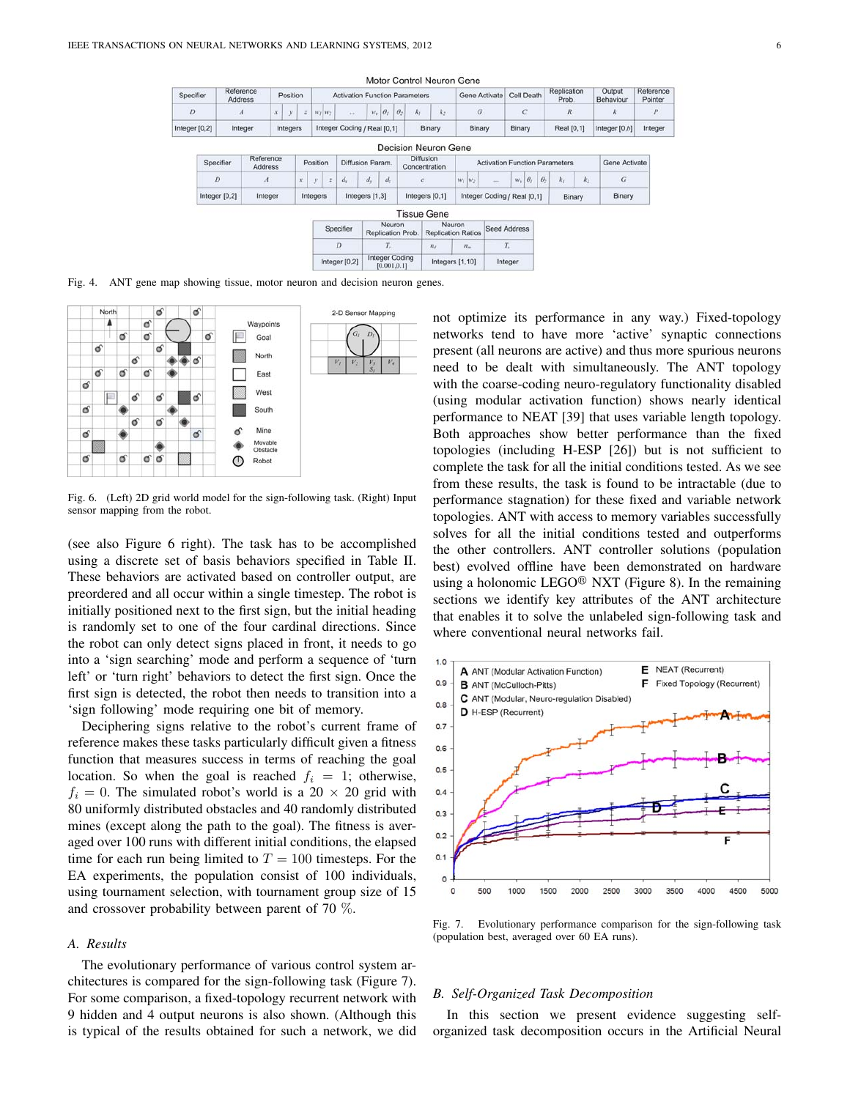| Specifier     | Reference<br>Address |  | Position |   | <b>Activation Function Parameters</b> |                             |           |          |          |    |        | Gene Activate | Cell Death | Replication | Output          | Reference |
|---------------|----------------------|--|----------|---|---------------------------------------|-----------------------------|-----------|----------|----------|----|--------|---------------|------------|-------------|-----------------|-----------|
|               |                      |  |          |   |                                       |                             |           |          |          |    |        |               |            | Prob.       | Behaviour       | Pointer   |
|               |                      |  |          | z | $W_I$ $W_2$                           |                             | $W_{\nu}$ | $\theta$ | $\theta$ | K. | $K_2$  |               |            |             |                 | p         |
| Integer [0,2] | Integer              |  | Integers |   |                                       | Integer Coding / Real [0.1] |           |          |          |    | Binary | Binary        | Binary     | Real [0,1]  | Integer $[0,b]$ |           |

| Specifier       | Reference<br><b>Address</b> |                 | Position |                |         | Diffusion Param. |            | <b>Diffusion</b><br>Concentration |  |                     | <b>Activation Function Parameters</b> |                  |          |        |       | Gene Activate    |
|-----------------|-----------------------------|-----------------|----------|----------------|---------|------------------|------------|-----------------------------------|--|---------------------|---------------------------------------|------------------|----------|--------|-------|------------------|
| D               | $\boldsymbol{A}$            | $\mathfrak{X}.$ | v        | $\overline{z}$ | $d_{r}$ | d.               | $d_{\tau}$ | e                                 |  | $W_I$ $W_2$         | 444                                   | $w_i   \theta_i$ | $\theta$ | As:    | $k_2$ | $\boldsymbol{G}$ |
| Integer $[0,2]$ | Integer                     |                 | Integers |                |         | Integers [1,3]   |            | Integers [0,1]                    |  |                     | Integer Coding / Real [0,1]           |                  |          | Binary |       | Binary           |
|                 |                             |                 |          |                |         |                  |            | <b>Tissue Gene</b>                |  |                     |                                       |                  |          |        |       |                  |
|                 | Neuron<br>Connifing         |                 |          |                |         |                  |            | Neuron                            |  | <b>Cood Address</b> |                                       |                  |          |        |       |                  |

| Specifier     | Neuron<br>Replication Prob.           |         | Neuron<br><b>Replication Ratios</b> | <b>Seed Address</b> |  |  |
|---------------|---------------------------------------|---------|-------------------------------------|---------------------|--|--|
|               |                                       | $n_{d}$ | $n_{m}$                             |                     |  |  |
| Integer [0,2] | <b>Integer Coding</b><br>[0.001, 0.1] |         | Integers [1,10]                     | Integer             |  |  |

Fig. 4. ANT gene map showing tissue, motor neuron and decision neuron genes.



Fig. 6. (Left) 2D grid world model for the sign-following task. (Right) Input sensor mapping from the robot.

(see also Figure 6 right). The task has to be accomplished using a discrete set of basis behaviors specified in Table II. These behaviors are activated based on controller output, are preordered and all occur within a single timestep. The robot is initially positioned next to the first sign, but the initial heading is randomly set to one of the four cardinal directions. Since the robot can only detect signs placed in front, it needs to go into a 'sign searching' mode and perform a sequence of 'turn left' or 'turn right' behaviors to detect the first sign. Once the first sign is detected, the robot then needs to transition into a 'sign following' mode requiring one bit of memory.

Deciphering signs relative to the robot's current frame of reference makes these tasks particularly difficult given a fitness function that measures success in terms of reaching the goal location. So when the goal is reached  $f_i = 1$ ; otherwise,  $f_i = 0$ . The simulated robot's world is a 20  $\times$  20 grid with 80 uniformly distributed obstacles and 40 randomly distributed mines (except along the path to the goal). The fitness is averaged over 100 runs with different initial conditions, the elapsed time for each run being limited to  $T = 100$  timesteps. For the EA experiments, the population consist of 100 individuals, using tournament selection, with tournament group size of 15 and crossover probability between parent of 70 %.

# *A. Results*

The evolutionary performance of various control system architectures is compared for the sign-following task (Figure 7). For some comparison, a fixed-topology recurrent network with 9 hidden and 4 output neurons is also shown. (Although this is typical of the results obtained for such a network, we did

not optimize its performance in any way.) Fixed-topology networks tend to have more 'active' synaptic connections present (all neurons are active) and thus more spurious neurons need to be dealt with simultaneously. The ANT topology with the coarse-coding neuro-regulatory functionality disabled (using modular activation function) shows nearly identical performance to NEAT [39] that uses variable length topology. Both approaches show better performance than the fixed topologies (including H-ESP [26]) but is not sufficient to complete the task for all the initial conditions tested. As we see from these results, the task is found to be intractable (due to performance stagnation) for these fixed and variable network topologies. ANT with access to memory variables successfully solves for all the initial conditions tested and outperforms the other controllers. ANT controller solutions (population best) evolved offline have been demonstrated on hardware using a holonomic LEGO<sup>®</sup> NXT (Figure 8). In the remaining sections we identify key attributes of the ANT architecture that enables it to solve the unlabeled sign-following task and where conventional neural networks fail.



Fig. 7. Evolutionary performance comparison for the sign-following task (population best, averaged over 60 EA runs).

# *B. Self-Organized Task Decomposition*

In this section we present evidence suggesting selforganized task decomposition occurs in the Artificial Neural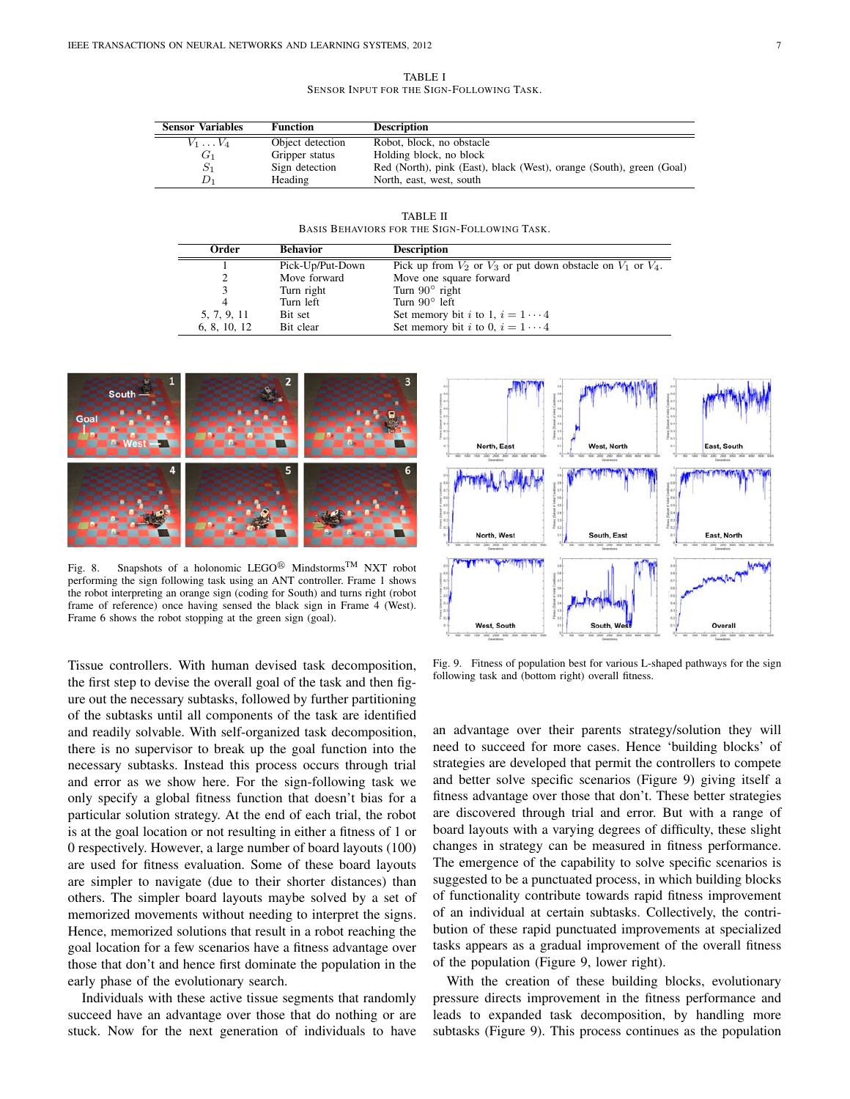TABLE I SENSOR INPUT FOR THE SIGN-FOLLOWING TASK.

| <b>Sensor Variables</b> | <b>Function</b>  | <b>Description</b>                                                   |
|-------------------------|------------------|----------------------------------------------------------------------|
| $V_1 \ldots V_4$        | Object detection | Robot, block, no obstacle                                            |
| $G_1$                   | Gripper status   | Holding block, no block                                              |
| $S_1$                   | Sign detection   | Red (North), pink (East), black (West), orange (South), green (Goal) |
|                         | Heading          | North, east, west, south                                             |

TABLE II BASIS BEHAVIORS FOR THE SIGN-FOLLOWING TASK.

| Order        | <b>Behavior</b>  | <b>Description</b>                                                   |
|--------------|------------------|----------------------------------------------------------------------|
|              | Pick-Up/Put-Down | Pick up from $V_2$ or $V_3$ or put down obstacle on $V_1$ or $V_4$ . |
|              | Move forward     | Move one square forward                                              |
|              | Turn right       | Turn $90^\circ$ right                                                |
| 4            | Turn left        | Turn $90^\circ$ left                                                 |
| 5, 7, 9, 11  | Bit set          | Set memory bit <i>i</i> to 1, $i = 1 \cdots 4$                       |
| 6, 8, 10, 12 | Bit clear        | Set memory bit <i>i</i> to 0, $i = 1 \cdots 4$                       |



Fig. 8. Snapshots of a holonomic LEGO<sup>®</sup> Mindstorms<sup>TM</sup> NXT robot performing the sign following task using an ANT controller. Frame 1 shows the robot interpreting an orange sign (coding for South) and turns right (robot frame of reference) once having sensed the black sign in Frame 4 (West). Frame 6 shows the robot stopping at the green sign (goal).

Tissue controllers. With human devised task decomposition, the first step to devise the overall goal of the task and then figure out the necessary subtasks, followed by further partitioning of the subtasks until all components of the task are identified and readily solvable. With self-organized task decomposition, there is no supervisor to break up the goal function into the necessary subtasks. Instead this process occurs through trial and error as we show here. For the sign-following task we only specify a global fitness function that doesn't bias for a particular solution strategy. At the end of each trial, the robot is at the goal location or not resulting in either a fitness of 1 or 0 respectively. However, a large number of board layouts (100) are used for fitness evaluation. Some of these board layouts are simpler to navigate (due to their shorter distances) than others. The simpler board layouts maybe solved by a set of memorized movements without needing to interpret the signs. Hence, memorized solutions that result in a robot reaching the goal location for a few scenarios have a fitness advantage over those that don't and hence first dominate the population in the early phase of the evolutionary search.

Individuals with these active tissue segments that randomly succeed have an advantage over those that do nothing or are stuck. Now for the next generation of individuals to have



Fig. 9. Fitness of population best for various L-shaped pathways for the sign following task and (bottom right) overall fitness.

an advantage over their parents strategy/solution they will need to succeed for more cases. Hence 'building blocks' of strategies are developed that permit the controllers to compete and better solve specific scenarios (Figure 9) giving itself a fitness advantage over those that don't. These better strategies are discovered through trial and error. But with a range of board layouts with a varying degrees of difficulty, these slight changes in strategy can be measured in fitness performance. The emergence of the capability to solve specific scenarios is suggested to be a punctuated process, in which building blocks of functionality contribute towards rapid fitness improvement of an individual at certain subtasks. Collectively, the contribution of these rapid punctuated improvements at specialized tasks appears as a gradual improvement of the overall fitness of the population (Figure 9, lower right).

With the creation of these building blocks, evolutionary pressure directs improvement in the fitness performance and leads to expanded task decomposition, by handling more subtasks (Figure 9). This process continues as the population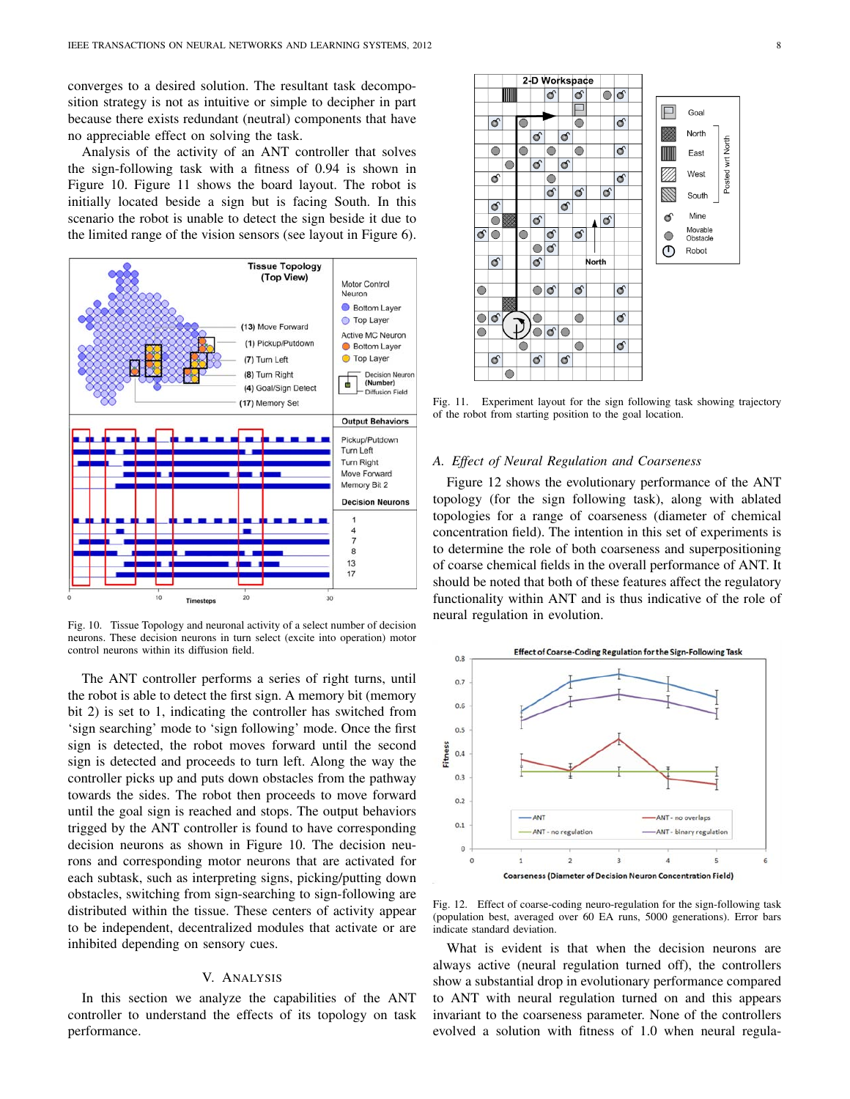converges to a desired solution. The resultant task decomposition strategy is not as intuitive or simple to decipher in part because there exists redundant (neutral) components that have no appreciable effect on solving the task.

Analysis of the activity of an ANT controller that solves the sign-following task with a fitness of 0.94 is shown in Figure 10. Figure 11 shows the board layout. The robot is initially located beside a sign but is facing South. In this scenario the robot is unable to detect the sign beside it due to the limited range of the vision sensors (see layout in Figure 6).



Fig. 10. Tissue Topology and neuronal activity of a select number of decision neurons. These decision neurons in turn select (excite into operation) motor control neurons within its diffusion field.

The ANT controller performs a series of right turns, until the robot is able to detect the first sign. A memory bit (memory bit 2) is set to 1, indicating the controller has switched from 'sign searching' mode to 'sign following' mode. Once the first sign is detected, the robot moves forward until the second sign is detected and proceeds to turn left. Along the way the controller picks up and puts down obstacles from the pathway towards the sides. The robot then proceeds to move forward until the goal sign is reached and stops. The output behaviors trigged by the ANT controller is found to have corresponding decision neurons as shown in Figure 10. The decision neurons and corresponding motor neurons that are activated for each subtask, such as interpreting signs, picking/putting down obstacles, switching from sign-searching to sign-following are distributed within the tissue. These centers of activity appear to be independent, decentralized modules that activate or are inhibited depending on sensory cues.

# V. ANALYSIS

In this section we analyze the capabilities of the ANT controller to understand the effects of its topology on task performance.



Fig. 11. Experiment layout for the sign following task showing trajectory of the robot from starting position to the goal location.

## *A. Effect of Neural Regulation and Coarseness*

Figure 12 shows the evolutionary performance of the ANT topology (for the sign following task), along with ablated topologies for a range of coarseness (diameter of chemical concentration field). The intention in this set of experiments is to determine the role of both coarseness and superpositioning of coarse chemical fields in the overall performance of ANT. It should be noted that both of these features affect the regulatory functionality within ANT and is thus indicative of the role of neural regulation in evolution.



Fig. 12. Effect of coarse-coding neuro-regulation for the sign-following task (population best, averaged over 60 EA runs, 5000 generations). Error bars indicate standard deviation.

What is evident is that when the decision neurons are always active (neural regulation turned off), the controllers show a substantial drop in evolutionary performance compared to ANT with neural regulation turned on and this appears invariant to the coarseness parameter. None of the controllers evolved a solution with fitness of 1.0 when neural regula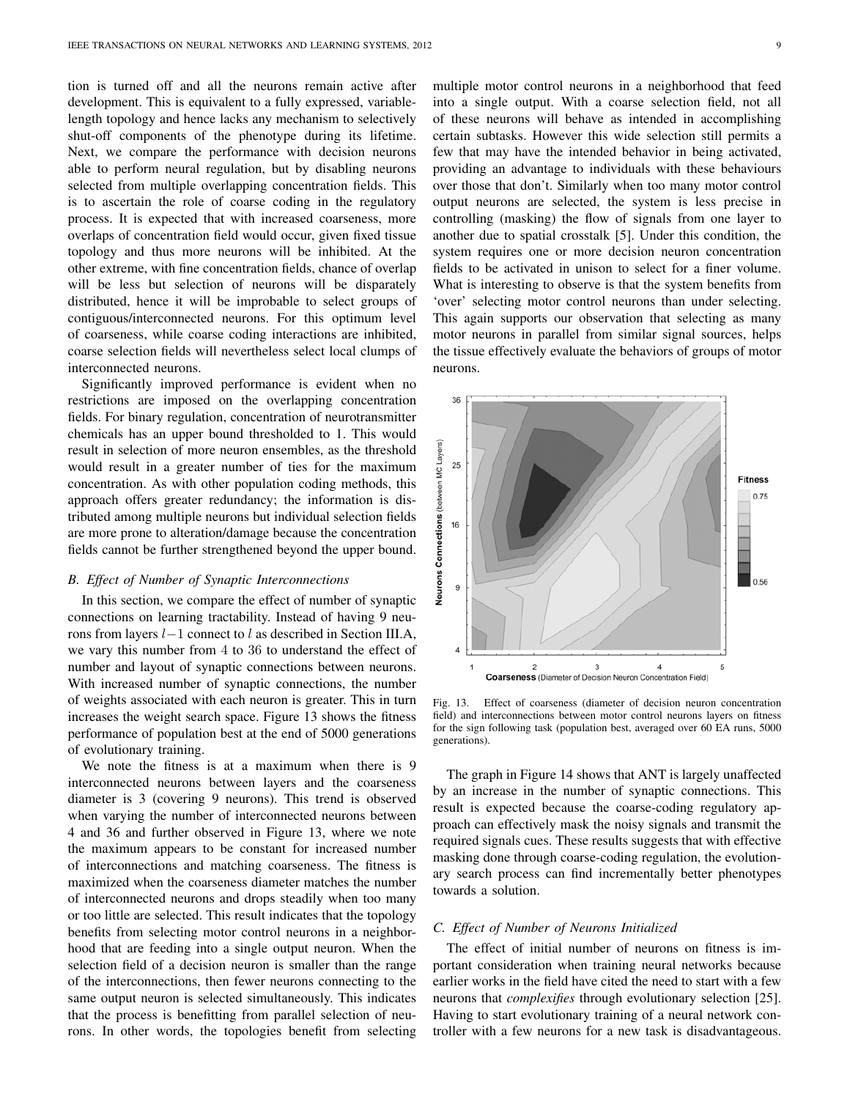tion is turned off and all the neurons remain active after development. This is equivalent to a fully expressed, variablelength topology and hence lacks any mechanism to selectively shut-off components of the phenotype during its lifetime. Next, we compare the performance with decision neurons able to perform neural regulation, but by disabling neurons selected from multiple overlapping concentration fields. This is to ascertain the role of coarse coding in the regulatory process. It is expected that with increased coarseness, more overlaps of concentration field would occur, given fixed tissue topology and thus more neurons will be inhibited. At the other extreme, with fine concentration fields, chance of overlap will be less but selection of neurons will be disparately distributed, hence it will be improbable to select groups of contiguous/interconnected neurons. For this optimum level of coarseness, while coarse coding interactions are inhibited, coarse selection fields will nevertheless select local clumps of interconnected neurons.

Significantly improved performance is evident when no restrictions are imposed on the overlapping concentration fields. For binary regulation, concentration of neurotransmitter chemicals has an upper bound thresholded to 1. This would result in selection of more neuron ensembles, as the threshold would result in a greater number of ties for the maximum concentration. As with other population coding methods, this approach offers greater redundancy; the information is distributed among multiple neurons but individual selection fields are more prone to alteration/damage because the concentration fields cannot be further strengthened beyond the upper bound.

### *B. Effect of Number of Synaptic Interconnections*

In this section, we compare the effect of number of synaptic connections on learning tractability. Instead of having 9 neurons from layers l−1 connect to l as described in Section III.A, we vary this number from 4 to 36 to understand the effect of number and layout of synaptic connections between neurons. With increased number of synaptic connections, the number of weights associated with each neuron is greater. This in turn increases the weight search space. Figure 13 shows the fitness performance of population best at the end of 5000 generations of evolutionary training.

We note the fitness is at a maximum when there is 9 interconnected neurons between layers and the coarseness diameter is 3 (covering 9 neurons). This trend is observed when varying the number of interconnected neurons between 4 and 36 and further observed in Figure 13, where we note the maximum appears to be constant for increased number of interconnections and matching coarseness. The fitness is maximized when the coarseness diameter matches the number of interconnected neurons and drops steadily when too many or too little are selected. This result indicates that the topology benefits from selecting motor control neurons in a neighborhood that are feeding into a single output neuron. When the selection field of a decision neuron is smaller than the range of the interconnections, then fewer neurons connecting to the same output neuron is selected simultaneously. This indicates that the process is benefitting from parallel selection of neurons. In other words, the topologies benefit from selecting

multiple motor control neurons in a neighborhood that feed into a single output. With a coarse selection field, not all of these neurons will behave as intended in accomplishing certain subtasks. However this wide selection still permits a few that may have the intended behavior in being activated, providing an advantage to individuals with these behaviours over those that don't. Similarly when too many motor control output neurons are selected, the system is less precise in controlling (masking) the flow of signals from one layer to another due to spatial crosstalk [5]. Under this condition, the system requires one or more decision neuron concentration fields to be activated in unison to select for a finer volume. What is interesting to observe is that the system benefits from 'over' selecting motor control neurons than under selecting. This again supports our observation that selecting as many motor neurons in parallel from similar signal sources, helps the tissue effectively evaluate the behaviors of groups of motor neurons.



Fig. 13. Effect of coarseness (diameter of decision neuron concentration field) and interconnections between motor control neurons layers on fitness for the sign following task (population best, averaged over 60 EA runs, 5000 generations).

The graph in Figure 14 shows that ANT is largely unaffected by an increase in the number of synaptic connections. This result is expected because the coarse-coding regulatory approach can effectively mask the noisy signals and transmit the required signals cues. These results suggests that with effective masking done through coarse-coding regulation, the evolutionary search process can find incrementally better phenotypes towards a solution.

## *C. Effect of Number of Neurons Initialized*

The effect of initial number of neurons on fitness is important consideration when training neural networks because earlier works in the field have cited the need to start with a few neurons that *complexifies* through evolutionary selection [25]. Having to start evolutionary training of a neural network controller with a few neurons for a new task is disadvantageous.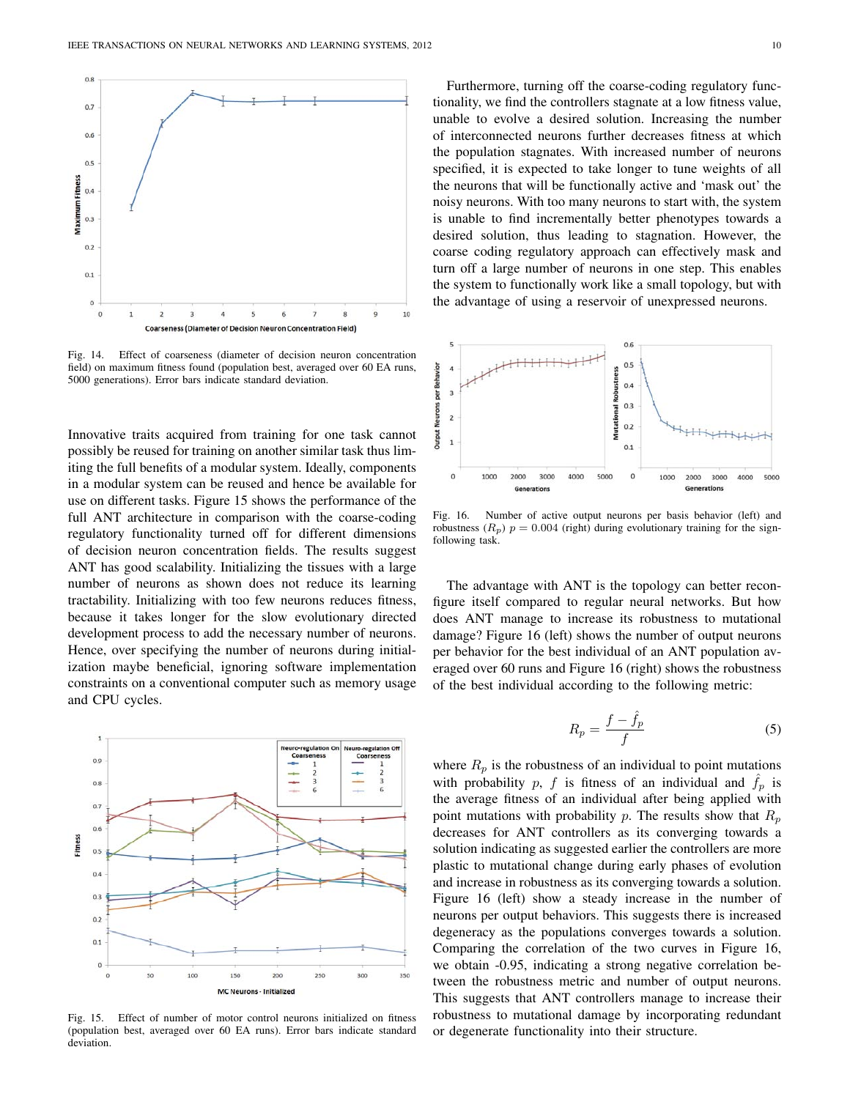

Fig. 14. Effect of coarseness (diameter of decision neuron concentration field) on maximum fitness found (population best, averaged over 60 EA runs, 5000 generations). Error bars indicate standard deviation.

Innovative traits acquired from training for one task cannot possibly be reused for training on another similar task thus limiting the full benefits of a modular system. Ideally, components in a modular system can be reused and hence be available for use on different tasks. Figure 15 shows the performance of the full ANT architecture in comparison with the coarse-coding regulatory functionality turned off for different dimensions of decision neuron concentration fields. The results suggest ANT has good scalability. Initializing the tissues with a large number of neurons as shown does not reduce its learning tractability. Initializing with too few neurons reduces fitness, because it takes longer for the slow evolutionary directed development process to add the necessary number of neurons. Hence, over specifying the number of neurons during initialization maybe beneficial, ignoring software implementation constraints on a conventional computer such as memory usage and CPU cycles.



Fig. 15. Effect of number of motor control neurons initialized on fitness (population best, averaged over 60 EA runs). Error bars indicate standard deviation.

Furthermore, turning off the coarse-coding regulatory functionality, we find the controllers stagnate at a low fitness value, unable to evolve a desired solution. Increasing the number of interconnected neurons further decreases fitness at which the population stagnates. With increased number of neurons specified, it is expected to take longer to tune weights of all the neurons that will be functionally active and 'mask out' the noisy neurons. With too many neurons to start with, the system is unable to find incrementally better phenotypes towards a desired solution, thus leading to stagnation. However, the coarse coding regulatory approach can effectively mask and turn off a large number of neurons in one step. This enables the system to functionally work like a small topology, but with the advantage of using a reservoir of unexpressed neurons.



Fig. 16. Number of active output neurons per basis behavior (left) and robustness ( $R_p$ )  $p = 0.004$  (right) during evolutionary training for the signfollowing task.

The advantage with ANT is the topology can better reconfigure itself compared to regular neural networks. But how does ANT manage to increase its robustness to mutational damage? Figure 16 (left) shows the number of output neurons per behavior for the best individual of an ANT population averaged over 60 runs and Figure 16 (right) shows the robustness of the best individual according to the following metric:

$$
R_p = \frac{f - \hat{f}_p}{f} \tag{5}
$$

where  $R_p$  is the robustness of an individual to point mutations with probability p, f is fitness of an individual and  $\hat{f}_p$  is the average fitness of an individual after being applied with point mutations with probability p. The results show that  $R_p$ decreases for ANT controllers as its converging towards a solution indicating as suggested earlier the controllers are more plastic to mutational change during early phases of evolution and increase in robustness as its converging towards a solution. Figure 16 (left) show a steady increase in the number of neurons per output behaviors. This suggests there is increased degeneracy as the populations converges towards a solution. Comparing the correlation of the two curves in Figure 16, we obtain -0.95, indicating a strong negative correlation between the robustness metric and number of output neurons. This suggests that ANT controllers manage to increase their robustness to mutational damage by incorporating redundant or degenerate functionality into their structure.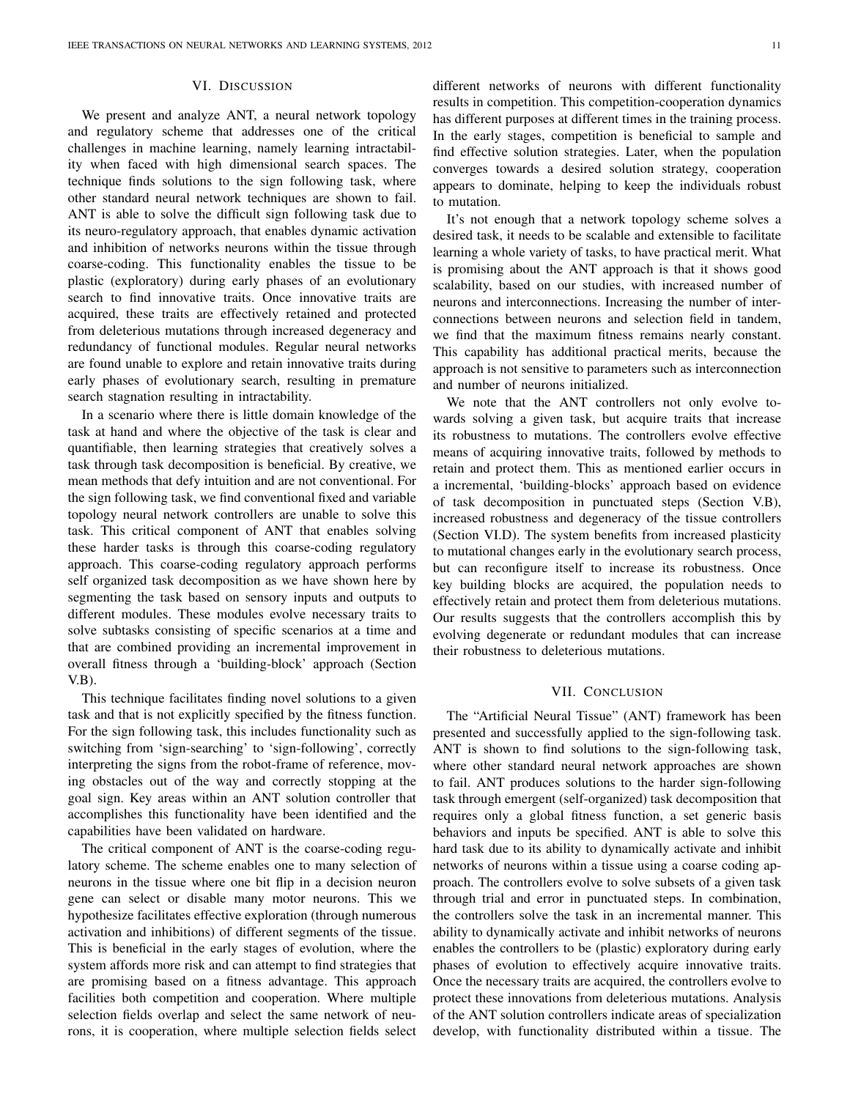# VI. DISCUSSION

We present and analyze ANT, a neural network topology and regulatory scheme that addresses one of the critical challenges in machine learning, namely learning intractability when faced with high dimensional search spaces. The technique finds solutions to the sign following task, where other standard neural network techniques are shown to fail. ANT is able to solve the difficult sign following task due to its neuro-regulatory approach, that enables dynamic activation and inhibition of networks neurons within the tissue through coarse-coding. This functionality enables the tissue to be plastic (exploratory) during early phases of an evolutionary search to find innovative traits. Once innovative traits are acquired, these traits are effectively retained and protected from deleterious mutations through increased degeneracy and redundancy of functional modules. Regular neural networks are found unable to explore and retain innovative traits during early phases of evolutionary search, resulting in premature search stagnation resulting in intractability.

In a scenario where there is little domain knowledge of the task at hand and where the objective of the task is clear and quantifiable, then learning strategies that creatively solves a task through task decomposition is beneficial. By creative, we mean methods that defy intuition and are not conventional. For the sign following task, we find conventional fixed and variable topology neural network controllers are unable to solve this task. This critical component of ANT that enables solving these harder tasks is through this coarse-coding regulatory approach. This coarse-coding regulatory approach performs self organized task decomposition as we have shown here by segmenting the task based on sensory inputs and outputs to different modules. These modules evolve necessary traits to solve subtasks consisting of specific scenarios at a time and that are combined providing an incremental improvement in overall fitness through a 'building-block' approach (Section V.B).

This technique facilitates finding novel solutions to a given task and that is not explicitly specified by the fitness function. For the sign following task, this includes functionality such as switching from 'sign-searching' to 'sign-following', correctly interpreting the signs from the robot-frame of reference, moving obstacles out of the way and correctly stopping at the goal sign. Key areas within an ANT solution controller that accomplishes this functionality have been identified and the capabilities have been validated on hardware.

The critical component of ANT is the coarse-coding regulatory scheme. The scheme enables one to many selection of neurons in the tissue where one bit flip in a decision neuron gene can select or disable many motor neurons. This we hypothesize facilitates effective exploration (through numerous activation and inhibitions) of different segments of the tissue. This is beneficial in the early stages of evolution, where the system affords more risk and can attempt to find strategies that are promising based on a fitness advantage. This approach facilities both competition and cooperation. Where multiple selection fields overlap and select the same network of neurons, it is cooperation, where multiple selection fields select different networks of neurons with different functionality results in competition. This competition-cooperation dynamics has different purposes at different times in the training process. In the early stages, competition is beneficial to sample and find effective solution strategies. Later, when the population converges towards a desired solution strategy, cooperation appears to dominate, helping to keep the individuals robust to mutation.

It's not enough that a network topology scheme solves a desired task, it needs to be scalable and extensible to facilitate learning a whole variety of tasks, to have practical merit. What is promising about the ANT approach is that it shows good scalability, based on our studies, with increased number of neurons and interconnections. Increasing the number of interconnections between neurons and selection field in tandem, we find that the maximum fitness remains nearly constant. This capability has additional practical merits, because the approach is not sensitive to parameters such as interconnection and number of neurons initialized.

We note that the ANT controllers not only evolve towards solving a given task, but acquire traits that increase its robustness to mutations. The controllers evolve effective means of acquiring innovative traits, followed by methods to retain and protect them. This as mentioned earlier occurs in a incremental, 'building-blocks' approach based on evidence of task decomposition in punctuated steps (Section V.B), increased robustness and degeneracy of the tissue controllers (Section VI.D). The system benefits from increased plasticity to mutational changes early in the evolutionary search process, but can reconfigure itself to increase its robustness. Once key building blocks are acquired, the population needs to effectively retain and protect them from deleterious mutations. Our results suggests that the controllers accomplish this by evolving degenerate or redundant modules that can increase their robustness to deleterious mutations.

## VII. CONCLUSION

The "Artificial Neural Tissue" (ANT) framework has been presented and successfully applied to the sign-following task. ANT is shown to find solutions to the sign-following task, where other standard neural network approaches are shown to fail. ANT produces solutions to the harder sign-following task through emergent (self-organized) task decomposition that requires only a global fitness function, a set generic basis behaviors and inputs be specified. ANT is able to solve this hard task due to its ability to dynamically activate and inhibit networks of neurons within a tissue using a coarse coding approach. The controllers evolve to solve subsets of a given task through trial and error in punctuated steps. In combination, the controllers solve the task in an incremental manner. This ability to dynamically activate and inhibit networks of neurons enables the controllers to be (plastic) exploratory during early phases of evolution to effectively acquire innovative traits. Once the necessary traits are acquired, the controllers evolve to protect these innovations from deleterious mutations. Analysis of the ANT solution controllers indicate areas of specialization develop, with functionality distributed within a tissue. The